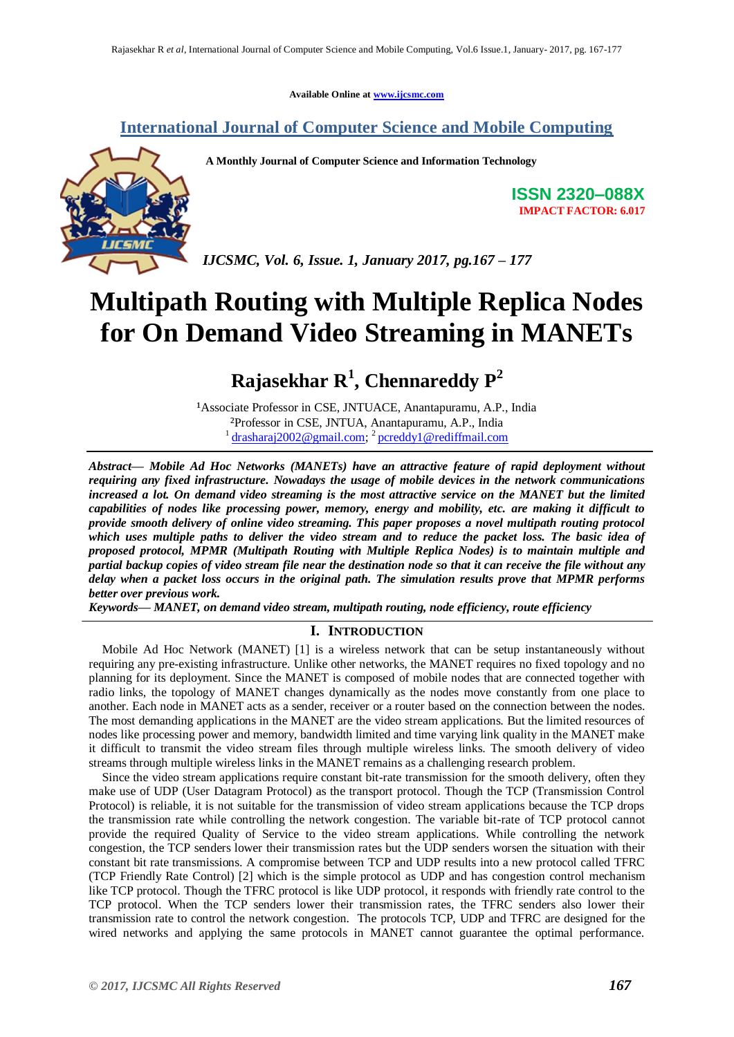**Available Online at [www.ijcsmc.com](http://www.ijcsmc.com/)**

## **International Journal of Computer Science and Mobile Computing**



**A Monthly Journal of Computer Science and Information Technology**

**ISSN 2320–088X IMPACT FACTOR: 6.017**

*IJCSMC, Vol. 6, Issue. 1, January 2017, pg.167 – 177*

# **Multipath Routing with Multiple Replica Nodes for On Demand Video Streaming in MANETs**

## **Rajasekhar R<sup>1</sup> , Chennareddy P<sup>2</sup>**

<sup>1</sup>Associate Professor in CSE, JNTUACE, Anantapuramu, A.P., India ²Professor in CSE, JNTUA, Anantapuramu, A.P., India <sup>1</sup> [drasharaj2002@gmail.com;](mailto:drasharaj2002@gmail.com)<sup>2</sup> [pcreddy1@rediffmail.com](mailto:pcreddy1@rediffmail.com)

*Abstract— Mobile Ad Hoc Networks (MANETs) have an attractive feature of rapid deployment without requiring any fixed infrastructure. Nowadays the usage of mobile devices in the network communications increased a lot. On demand video streaming is the most attractive service on the MANET but the limited capabilities of nodes like processing power, memory, energy and mobility, etc. are making it difficult to provide smooth delivery of online video streaming. This paper proposes a novel multipath routing protocol which uses multiple paths to deliver the video stream and to reduce the packet loss. The basic idea of proposed protocol, MPMR (Multipath Routing with Multiple Replica Nodes) is to maintain multiple and partial backup copies of video stream file near the destination node so that it can receive the file without any delay when a packet loss occurs in the original path. The simulation results prove that MPMR performs better over previous work.*

*Keywords— MANET, on demand video stream, multipath routing, node efficiency, route efficiency*

## **I. INTRODUCTION**

Mobile Ad Hoc Network (MANET) [1] is a wireless network that can be setup instantaneously without requiring any pre-existing infrastructure. Unlike other networks, the MANET requires no fixed topology and no planning for its deployment. Since the MANET is composed of mobile nodes that are connected together with radio links, the topology of MANET changes dynamically as the nodes move constantly from one place to another. Each node in MANET acts as a sender, receiver or a router based on the connection between the nodes. The most demanding applications in the MANET are the video stream applications. But the limited resources of nodes like processing power and memory, bandwidth limited and time varying link quality in the MANET make it difficult to transmit the video stream files through multiple wireless links. The smooth delivery of video streams through multiple wireless links in the MANET remains as a challenging research problem.

Since the video stream applications require constant bit-rate transmission for the smooth delivery, often they make use of UDP (User Datagram Protocol) as the transport protocol. Though the TCP (Transmission Control Protocol) is reliable, it is not suitable for the transmission of video stream applications because the TCP drops the transmission rate while controlling the network congestion. The variable bit-rate of TCP protocol cannot provide the required Quality of Service to the video stream applications. While controlling the network congestion, the TCP senders lower their transmission rates but the UDP senders worsen the situation with their constant bit rate transmissions. A compromise between TCP and UDP results into a new protocol called TFRC (TCP Friendly Rate Control) [2] which is the simple protocol as UDP and has congestion control mechanism like TCP protocol. Though the TFRC protocol is like UDP protocol, it responds with friendly rate control to the TCP protocol. When the TCP senders lower their transmission rates, the TFRC senders also lower their transmission rate to control the network congestion. The protocols TCP, UDP and TFRC are designed for the wired networks and applying the same protocols in MANET cannot guarantee the optimal performance.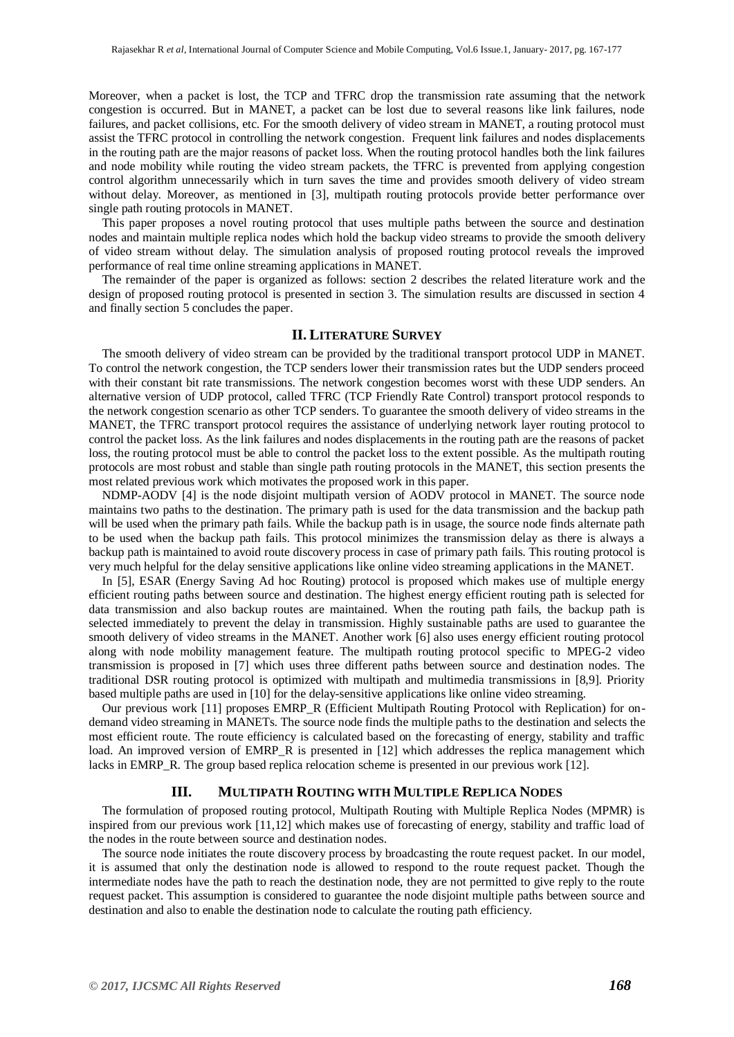Moreover, when a packet is lost, the TCP and TFRC drop the transmission rate assuming that the network congestion is occurred. But in MANET, a packet can be lost due to several reasons like link failures, node failures, and packet collisions, etc. For the smooth delivery of video stream in MANET, a routing protocol must assist the TFRC protocol in controlling the network congestion. Frequent link failures and nodes displacements in the routing path are the major reasons of packet loss. When the routing protocol handles both the link failures and node mobility while routing the video stream packets, the TFRC is prevented from applying congestion control algorithm unnecessarily which in turn saves the time and provides smooth delivery of video stream without delay. Moreover, as mentioned in [3], multipath routing protocols provide better performance over single path routing protocols in MANET.

This paper proposes a novel routing protocol that uses multiple paths between the source and destination nodes and maintain multiple replica nodes which hold the backup video streams to provide the smooth delivery of video stream without delay. The simulation analysis of proposed routing protocol reveals the improved performance of real time online streaming applications in MANET.

The remainder of the paper is organized as follows: section 2 describes the related literature work and the design of proposed routing protocol is presented in section 3. The simulation results are discussed in section 4 and finally section 5 concludes the paper.

#### **II. LITERATURE SURVEY**

The smooth delivery of video stream can be provided by the traditional transport protocol UDP in MANET. To control the network congestion, the TCP senders lower their transmission rates but the UDP senders proceed with their constant bit rate transmissions. The network congestion becomes worst with these UDP senders. An alternative version of UDP protocol, called TFRC (TCP Friendly Rate Control) transport protocol responds to the network congestion scenario as other TCP senders. To guarantee the smooth delivery of video streams in the MANET, the TFRC transport protocol requires the assistance of underlying network layer routing protocol to control the packet loss. As the link failures and nodes displacements in the routing path are the reasons of packet loss, the routing protocol must be able to control the packet loss to the extent possible. As the multipath routing protocols are most robust and stable than single path routing protocols in the MANET, this section presents the most related previous work which motivates the proposed work in this paper.

NDMP-AODV [4] is the node disjoint multipath version of AODV protocol in MANET. The source node maintains two paths to the destination. The primary path is used for the data transmission and the backup path will be used when the primary path fails. While the backup path is in usage, the source node finds alternate path to be used when the backup path fails. This protocol minimizes the transmission delay as there is always a backup path is maintained to avoid route discovery process in case of primary path fails. This routing protocol is very much helpful for the delay sensitive applications like online video streaming applications in the MANET.

In [5], ESAR (Energy Saving Ad hoc Routing) protocol is proposed which makes use of multiple energy efficient routing paths between source and destination. The highest energy efficient routing path is selected for data transmission and also backup routes are maintained. When the routing path fails, the backup path is selected immediately to prevent the delay in transmission. Highly sustainable paths are used to guarantee the smooth delivery of video streams in the MANET. Another work [6] also uses energy efficient routing protocol along with node mobility management feature. The multipath routing protocol specific to MPEG-2 video transmission is proposed in [7] which uses three different paths between source and destination nodes. The traditional DSR routing protocol is optimized with multipath and multimedia transmissions in [8,9]. Priority based multiple paths are used in [10] for the delay-sensitive applications like online video streaming.

Our previous work [11] proposes EMRP\_R (Efficient Multipath Routing Protocol with Replication) for ondemand video streaming in MANETs. The source node finds the multiple paths to the destination and selects the most efficient route. The route efficiency is calculated based on the forecasting of energy, stability and traffic load. An improved version of EMRP\_R is presented in [12] which addresses the replica management which lacks in EMRP\_R. The group based replica relocation scheme is presented in our previous work [12].

#### **III. MULTIPATH ROUTING WITH MULTIPLE REPLICA NODES**

The formulation of proposed routing protocol, Multipath Routing with Multiple Replica Nodes (MPMR) is inspired from our previous work [11,12] which makes use of forecasting of energy, stability and traffic load of the nodes in the route between source and destination nodes.

The source node initiates the route discovery process by broadcasting the route request packet. In our model, it is assumed that only the destination node is allowed to respond to the route request packet. Though the intermediate nodes have the path to reach the destination node, they are not permitted to give reply to the route request packet. This assumption is considered to guarantee the node disjoint multiple paths between source and destination and also to enable the destination node to calculate the routing path efficiency.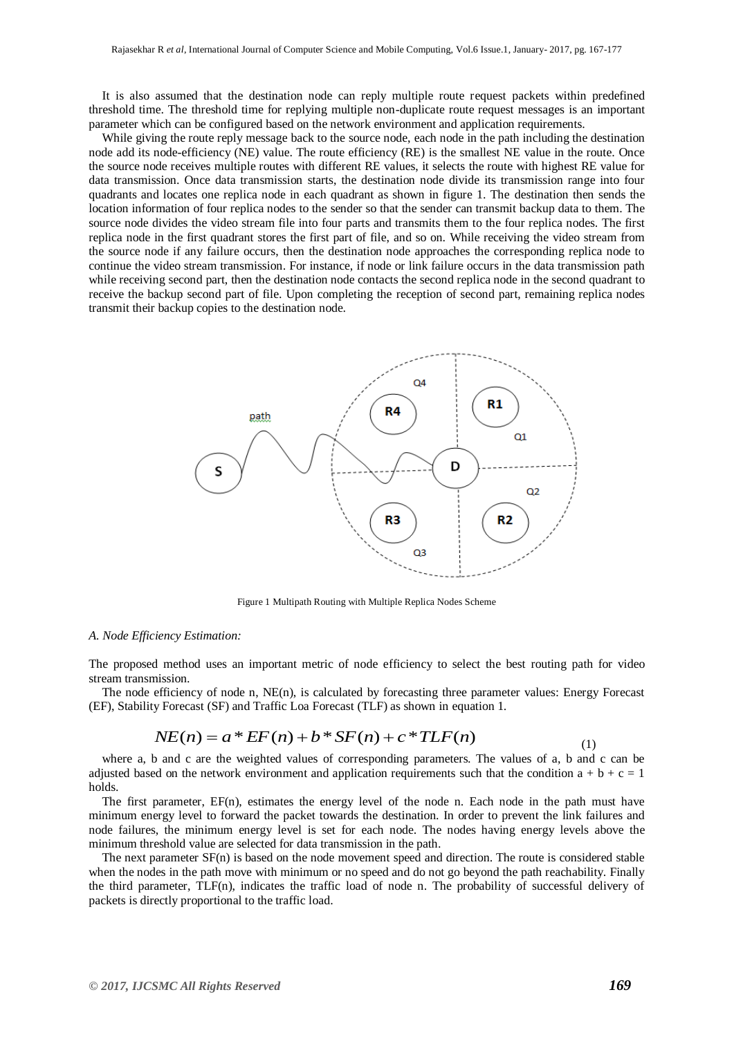It is also assumed that the destination node can reply multiple route request packets within predefined threshold time. The threshold time for replying multiple non-duplicate route request messages is an important parameter which can be configured based on the network environment and application requirements.

While giving the route reply message back to the source node, each node in the path including the destination node add its node-efficiency (NE) value. The route efficiency (RE) is the smallest NE value in the route. Once the source node receives multiple routes with different RE values, it selects the route with highest RE value for data transmission. Once data transmission starts, the destination node divide its transmission range into four quadrants and locates one replica node in each quadrant as shown in figure 1. The destination then sends the location information of four replica nodes to the sender so that the sender can transmit backup data to them. The source node divides the video stream file into four parts and transmits them to the four replica nodes. The first replica node in the first quadrant stores the first part of file, and so on. While receiving the video stream from the source node if any failure occurs, then the destination node approaches the corresponding replica node to continue the video stream transmission. For instance, if node or link failure occurs in the data transmission path while receiving second part, then the destination node contacts the second replica node in the second quadrant to receive the backup second part of file. Upon completing the reception of second part, remaining replica nodes transmit their backup copies to the destination node.



Figure 1 Multipath Routing with Multiple Replica Nodes Scheme

#### *A. Node Efficiency Estimation:*

The proposed method uses an important metric of node efficiency to select the best routing path for video stream transmission.

The node efficiency of node n,  $NE(n)$ , is calculated by forecasting three parameter values: Energy Forecast (EF), Stability Forecast (SF) and Traffic Loa Forecast (TLF) as shown in equation 1.

$$
NE(n) = a * EF(n) + b * SF(n) + c * TLF(n)
$$
\n(1)

where a, b and c are the weighted values of corresponding parameters. The values of a, b and c can be adjusted based on the network environment and application requirements such that the condition  $a + b + c = 1$ holds.

The first parameter, EF(n), estimates the energy level of the node n. Each node in the path must have minimum energy level to forward the packet towards the destination. In order to prevent the link failures and node failures, the minimum energy level is set for each node. The nodes having energy levels above the minimum threshold value are selected for data transmission in the path.

The next parameter SF(n) is based on the node movement speed and direction. The route is considered stable when the nodes in the path move with minimum or no speed and do not go beyond the path reachability. Finally the third parameter, TLF(n), indicates the traffic load of node n. The probability of successful delivery of packets is directly proportional to the traffic load.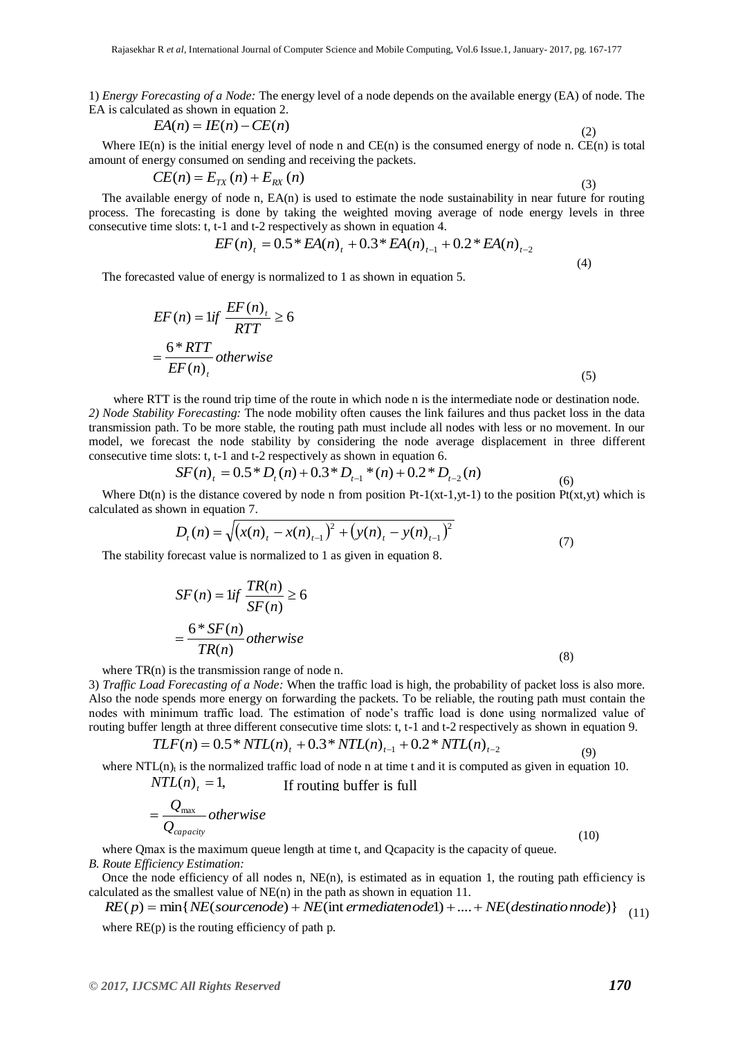1) *Energy Forecasting of a Node:* The energy level of a node depends on the available energy (EA) of node. The EA is calculated as shown in equation 2.

$$
EA(n) = IE(n) - CE(n)
$$
\n<sup>(2)</sup>

Where IE(n) is the initial energy level of node n and CE(n) is the consumed energy of node n. CE(n) is total amount of energy consumed on sending and receiving the packets.

$$
CE(n) = E_{TX}(n) + E_{RX}(n)
$$

$$
(3)
$$

(4)

The available energy of node n, EA(n) is used to estimate the node sustainability in near future for routing process. The forecasting is done by taking the weighted moving average of node energy levels in three consecutive time slots: t, t-1 and t-2 respectively as shown in equation 4.

$$
EF(n)_{t} = 0.5 * EA(n)_{t} + 0.3 * EA(n)_{t-1} + 0.2 * EA(n)_{t-2}
$$

The forecasted value of energy is normalized to 1 as shown in equation 5.

$$
EF(n) = \iint \frac{EF(n)_t}{RTT} \ge 6
$$
  
=  $\frac{6 * RTT}{EF(n)_t}$  otherwise (5)

where RTT is the round trip time of the route in which node n is the intermediate node or destination node. *2) Node Stability Forecasting:* The node mobility often causes the link failures and thus packet loss in the data transmission path. To be more stable, the routing path must include all nodes with less or no movement. In our model, we forecast the node stability by considering the node average displacement in three different consecutive time slots: t, t-1 and t-2 respectively as shown in equation 6.

$$
SF(n)_t = 0.5 * D_t(n) + 0.3 * D_{t-1} * (n) + 0.2 * D_{t-2}(n)
$$
\n
$$
(6)
$$

Where  $Df(n)$  is the distance covered by node n from position Pt-1(xt-1,yt-1) to the position Pt(xt,yt) which is calculated as shown in equation 7.

$$
D_{t}(n) = \sqrt{(x(n)_{t} - x(n)_{t-1})^{2} + (y(n)_{t} - y(n)_{t-1})^{2}}
$$
\n(7)

The stability forecast value is normalized to 1 as given in equation 8.

$$
SF(n) = 1if \frac{TR(n)}{SF(n)} \ge 6
$$
  
= 
$$
\frac{6 * SF(n)}{TR(n)} \text{ otherwise}
$$
 (8)

where  $TR(n)$  is the transmission range of node n.

3) *Traffic Load Forecasting of a Node:* When the traffic load is high, the probability of packet loss is also more. Also the node spends more energy on forwarding the packets. To be reliable, the routing path must contain the nodes with minimum traffic load. The estimation of node's traffic load is done using normalized value of routing buffer length at three different consecutive time slots: t, t-1 and t-2 respectively as shown in equation 9.

$$
TLF(n) = 0.5 * NTL(n)t + 0.3 * NTL(n)t-1 + 0.2 * NTL(n)t-2
$$
\n(9)

where NTL $(n)$ <sub>t</sub> is the normalized traffic load of node n at time t and it is computed as given in equation 10.

$$
NTL(n)t = 1,
$$
 If routine buffer is full  
= 
$$
\frac{Q_{\text{max}}}{Q_{\text{capacity}}}
$$
 otherwise (10)

where Qmax is the maximum queue length at time t, and Qcapacity is the capacity of queue. *B. Route Efficiency Estimation:*

Once the node efficiency of all nodes n,  $NE(n)$ , is estimated as in equation 1, the routing path efficiency is calculated as the smallest value of NE(n) in the path as shown in equation 11.

$$
RE(p) = min\{NE(sourcenode) + NE(int\,enediateno del) + .... + NE(destinationnode)\}
$$
\n(11)

where  $RE(p)$  is the routing efficiency of path p.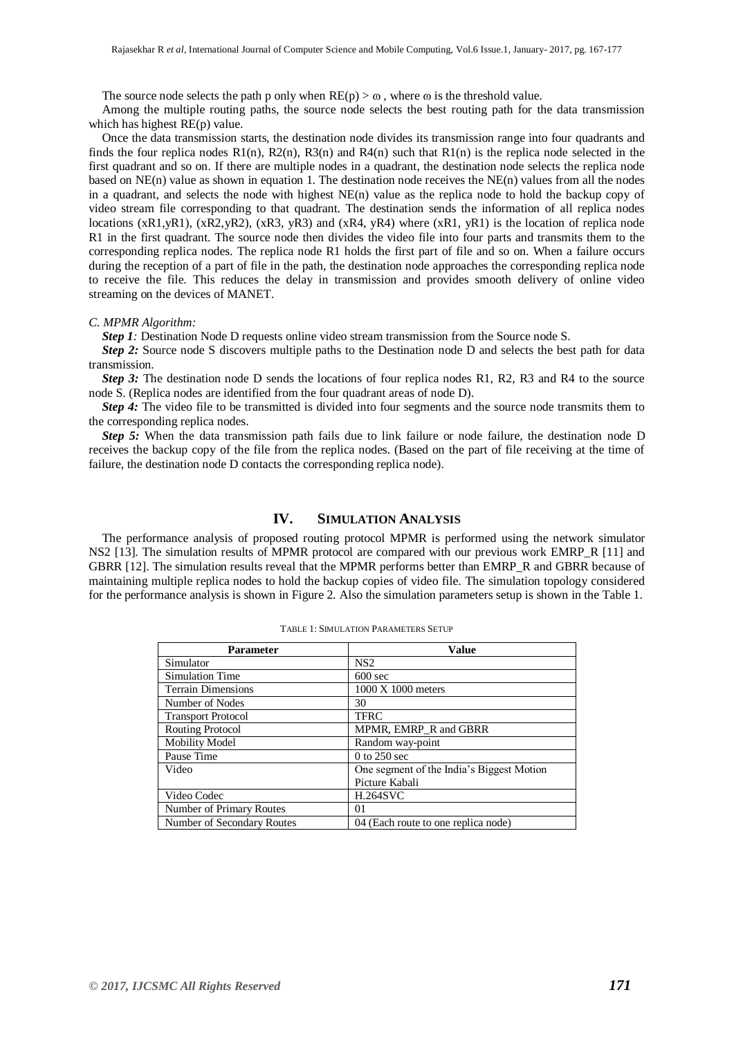The source node selects the path p only when  $RE(p) > \omega$ , where  $\omega$  is the threshold value.

Among the multiple routing paths, the source node selects the best routing path for the data transmission which has highest RE(p) value.

Once the data transmission starts, the destination node divides its transmission range into four quadrants and finds the four replica nodes  $R1(n)$ ,  $R2(n)$ ,  $R3(n)$  and  $R4(n)$  such that  $R1(n)$  is the replica node selected in the first quadrant and so on. If there are multiple nodes in a quadrant, the destination node selects the replica node based on NE(n) value as shown in equation 1. The destination node receives the NE(n) values from all the nodes in a quadrant, and selects the node with highest NE(n) value as the replica node to hold the backup copy of video stream file corresponding to that quadrant. The destination sends the information of all replica nodes locations (xR1,yR1), (xR2,yR2), (xR3, yR3) and (xR4, yR4) where (xR1, yR1) is the location of replica node R1 in the first quadrant. The source node then divides the video file into four parts and transmits them to the corresponding replica nodes. The replica node R1 holds the first part of file and so on. When a failure occurs during the reception of a part of file in the path, the destination node approaches the corresponding replica node to receive the file. This reduces the delay in transmission and provides smooth delivery of online video streaming on the devices of MANET.

#### *C. MPMR Algorithm:*

*Step 1*: Destination Node D requests online video stream transmission from the Source node S.

*Step 2:* Source node S discovers multiple paths to the Destination node D and selects the best path for data transmission.

*Step 3:* The destination node D sends the locations of four replica nodes R1, R2, R3 and R4 to the source node S. (Replica nodes are identified from the four quadrant areas of node D).

*Step 4:* The video file to be transmitted is divided into four segments and the source node transmits them to the corresponding replica nodes.

*Step 5:* When the data transmission path fails due to link failure or node failure, the destination node D receives the backup copy of the file from the replica nodes. (Based on the part of file receiving at the time of failure, the destination node D contacts the corresponding replica node).

## **IV. SIMULATION ANALYSIS**

The performance analysis of proposed routing protocol MPMR is performed using the network simulator NS2 [13]. The simulation results of MPMR protocol are compared with our previous work EMRP R [11] and GBRR [12]. The simulation results reveal that the MPMR performs better than EMRP\_R and GBRR because of maintaining multiple replica nodes to hold the backup copies of video file. The simulation topology considered for the performance analysis is shown in Figure 2. Also the simulation parameters setup is shown in the Table 1.

| <b>Parameter</b>           | <b>Value</b>                              |  |  |
|----------------------------|-------------------------------------------|--|--|
| Simulator                  | NS2                                       |  |  |
| <b>Simulation Time</b>     | $600$ sec                                 |  |  |
| <b>Terrain Dimensions</b>  | 1000 X 1000 meters                        |  |  |
| Number of Nodes            | 30                                        |  |  |
| <b>Transport Protocol</b>  | <b>TFRC</b>                               |  |  |
| <b>Routing Protocol</b>    | MPMR, EMRP_R and GBRR                     |  |  |
| <b>Mobility Model</b>      | Random way-point                          |  |  |
| Pause Time                 | $0$ to 250 sec                            |  |  |
| Video                      | One segment of the India's Biggest Motion |  |  |
|                            | Picture Kabali                            |  |  |
| Video Codec                | <b>H.264SVC</b>                           |  |  |
| Number of Primary Routes   | 01                                        |  |  |
| Number of Secondary Routes | 04 (Each route to one replica node)       |  |  |

|  |  | TABLE 1: SIMULATION PARAMETERS SETUF |  |
|--|--|--------------------------------------|--|
|--|--|--------------------------------------|--|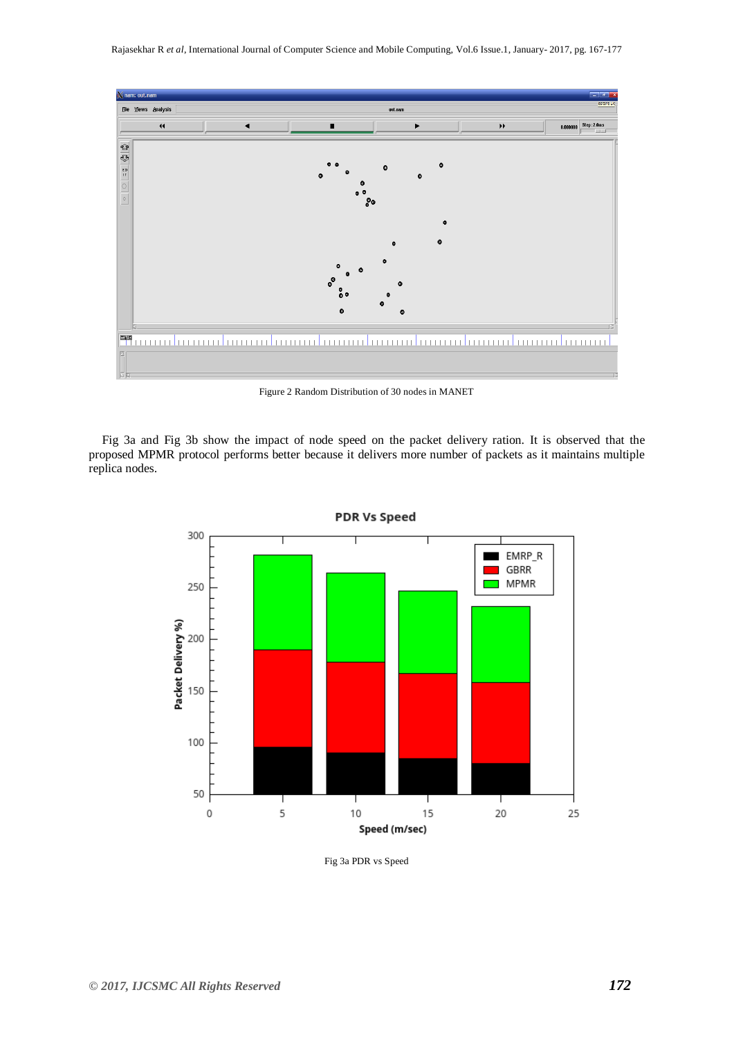

Figure 2 Random Distribution of 30 nodes in MANET

Fig 3a and Fig 3b show the impact of node speed on the packet delivery ration. It is observed that the proposed MPMR protocol performs better because it delivers more number of packets as it maintains multiple replica nodes.



**PDR Vs Speed** 

Fig 3a PDR vs Speed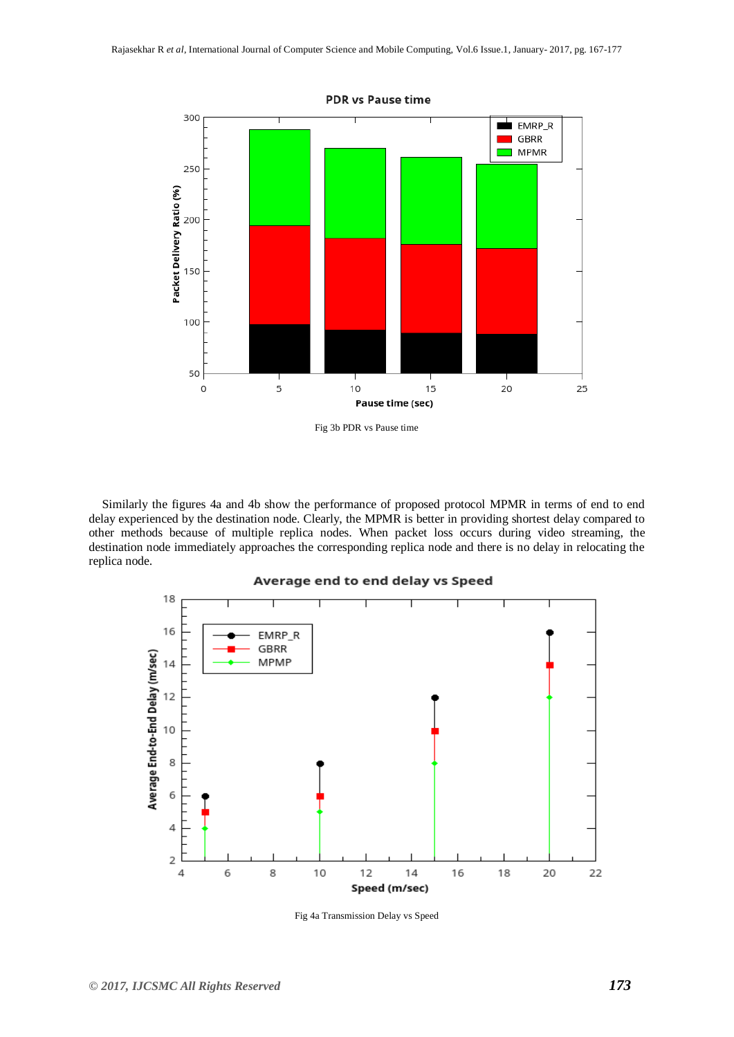

Fig 3b PDR vs Pause time

Similarly the figures 4a and 4b show the performance of proposed protocol MPMR in terms of end to end delay experienced by the destination node. Clearly, the MPMR is better in providing shortest delay compared to other methods because of multiple replica nodes. When packet loss occurs during video streaming, the destination node immediately approaches the corresponding replica node and there is no delay in relocating the replica node.



Fig 4a Transmission Delay vs Speed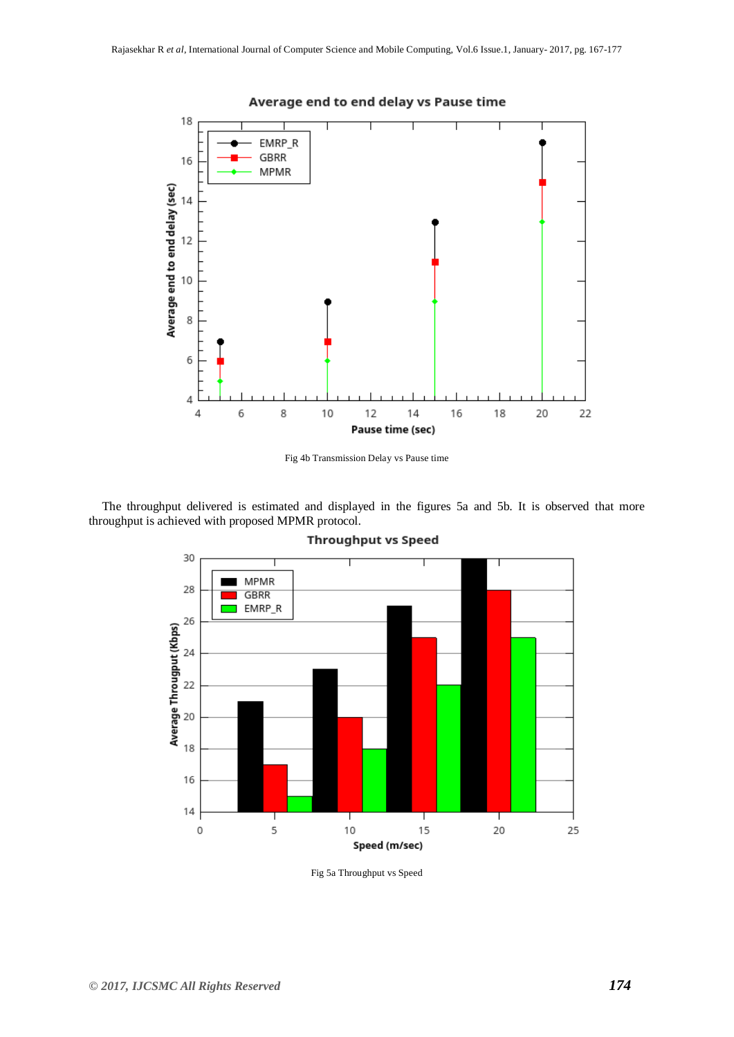

Average end to end delay vs Pause time

Fig 4b Transmission Delay vs Pause time

The throughput delivered is estimated and displayed in the figures 5a and 5b. It is observed that more throughput is achieved with proposed MPMR protocol.



**Throughput vs Speed** 

Fig 5a Throughput vs Speed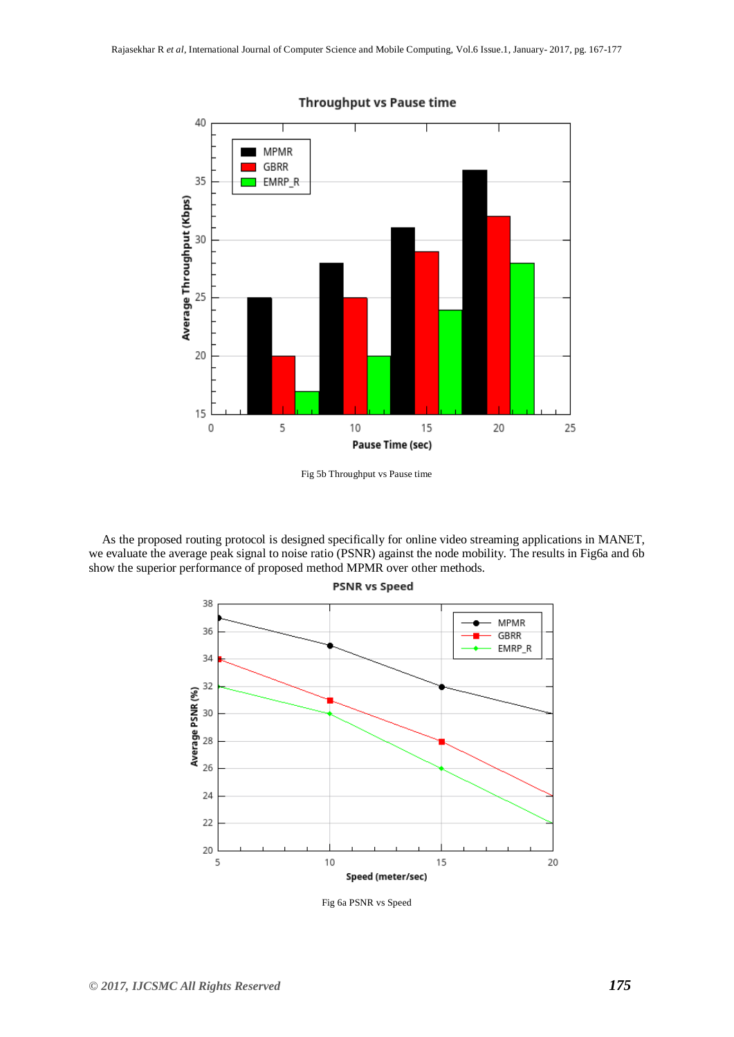

### **Throughput vs Pause time**

As the proposed routing protocol is designed specifically for online video streaming applications in MANET, we evaluate the average peak signal to noise ratio (PSNR) against the node mobility. The results in Fig6a and 6b show the superior performance of proposed method MPMR over other methods.



Fig 6a PSNR vs Speed

Fig 5b Throughput vs Pause time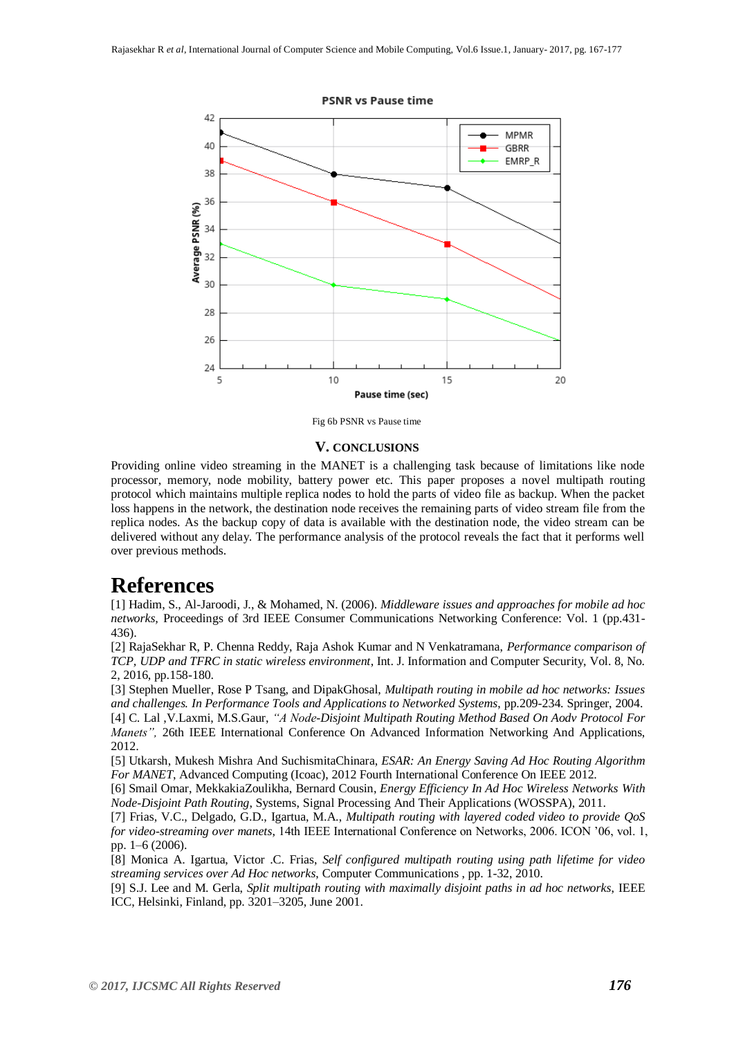

Fig 6b PSNR vs Pause time

#### **V. CONCLUSIONS**

Providing online video streaming in the MANET is a challenging task because of limitations like node processor, memory, node mobility, battery power etc. This paper proposes a novel multipath routing protocol which maintains multiple replica nodes to hold the parts of video file as backup. When the packet loss happens in the network, the destination node receives the remaining parts of video stream file from the replica nodes. As the backup copy of data is available with the destination node, the video stream can be delivered without any delay. The performance analysis of the protocol reveals the fact that it performs well over previous methods.

## **References**

[1] Hadim, S., Al-Jaroodi, J., & Mohamed, N. (2006). *Middleware issues and approaches for mobile ad hoc networks,* Proceedings of 3rd IEEE Consumer Communications Networking Conference: Vol. 1 (pp.431- 436).

[2] RajaSekhar R, P. Chenna Reddy, Raja Ashok Kumar and N Venkatramana, *Performance comparison of TCP, UDP and TFRC in static wireless environment*, Int. J. Information and Computer Security, Vol. 8, No. 2, 2016, pp.158-180.

[3] Stephen Mueller, Rose P Tsang, and DipakGhosal, *Multipath routing in mobile ad hoc networks: Issues and challenges. In Performance Tools and Applications to Networked Systems*, pp.209-234. Springer, 2004. [4] C. Lal ,V.Laxmi, M.S.Gaur, *"A Node-Disjoint Multipath Routing Method Based On Aodv Protocol For Manets",* 26th IEEE International Conference On Advanced Information Networking And Applications, 2012.

[5] Utkarsh, Mukesh Mishra And SuchismitaChinara, *ESAR: An Energy Saving Ad Hoc Routing Algorithm For MANET*, Advanced Computing (Icoac), 2012 Fourth International Conference On IEEE 2012.

[6] Smail Omar, MekkakiaZoulikha, Bernard Cousin, *Energy Efficiency In Ad Hoc Wireless Networks With Node-Disjoint Path Routing*, Systems, Signal Processing And Their Applications (WOSSPA), 2011.

[7] Frias, V.C., Delgado, G.D., Igartua, M.A., *Multipath routing with layered coded video to provide QoS for video-streaming over manets*, 14th IEEE International Conference on Networks, 2006. ICON '06, vol. 1, pp. 1–6 (2006).

[8] Monica A. Igartua, Victor .C. Frias, *Self configured multipath routing using path lifetime for video streaming services over Ad Hoc networks*, Computer Communications , pp. 1-32, 2010.

[9] S.J. Lee and M. Gerla, *Split multipath routing with maximally disjoint paths in ad hoc networks*, IEEE ICC, Helsinki, Finland, pp. 3201–3205, June 2001.